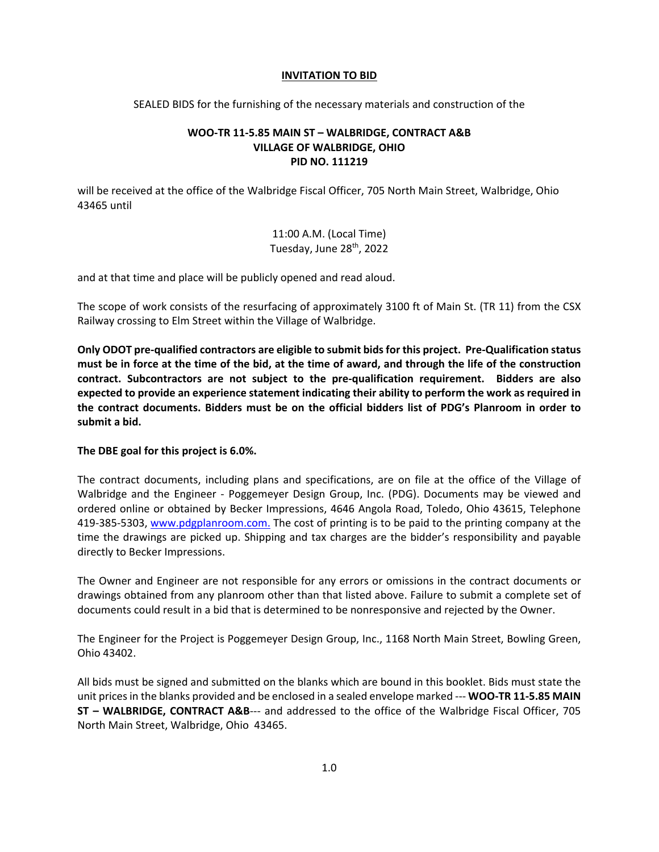## **INVITATION TO BID**

SEALED BIDS for the furnishing of the necessary materials and construction of the

## **WOO-TR 11-5.85 MAIN ST – WALBRIDGE, CONTRACT A&B VILLAGE OF WALBRIDGE, OHIO PID NO. 111219**

will be received at the office of the Walbridge Fiscal Officer, 705 North Main Street, Walbridge, Ohio 43465 until

> 11:00 A.M. (Local Time) Tuesday, June 28<sup>th</sup>, 2022

and at that time and place will be publicly opened and read aloud.

The scope of work consists of the resurfacing of approximately 3100 ft of Main St. (TR 11) from the CSX Railway crossing to Elm Street within the Village of Walbridge.

**Only ODOT pre-qualified contractors are eligible to submit bids for this project. Pre-Qualification status must be in force at the time of the bid, at the time of award, and through the life of the construction contract. Subcontractors are not subject to the pre-qualification requirement. Bidders are also expected to provide an experience statement indicating their ability to perform the work as required in the contract documents. Bidders must be on the official bidders list of PDG's Planroom in order to submit a bid.** 

## **The DBE goal for this project is 6.0%.**

The contract documents, including plans and specifications, are on file at the office of the Village of Walbridge and the Engineer - Poggemeyer Design Group, Inc. (PDG). Documents may be viewed and ordered online or obtained by Becker Impressions, 4646 Angola Road, Toledo, Ohio 43615, Telephone 419-385-5303, [www.pdgplanroom.com.](http://www.pdgplanroom.com./) The cost of printing is to be paid to the printing company at the time the drawings are picked up. Shipping and tax charges are the bidder's responsibility and payable directly to Becker Impressions.

The Owner and Engineer are not responsible for any errors or omissions in the contract documents or drawings obtained from any planroom other than that listed above. Failure to submit a complete set of documents could result in a bid that is determined to be nonresponsive and rejected by the Owner.

The Engineer for the Project is Poggemeyer Design Group, Inc., 1168 North Main Street, Bowling Green, Ohio 43402.

All bids must be signed and submitted on the blanks which are bound in this booklet. Bids must state the unit prices in the blanks provided and be enclosed in a sealed envelope marked --- **WOO-TR 11-5.85 MAIN ST – WALBRIDGE, CONTRACT A&B**--- and addressed to the office of the Walbridge Fiscal Officer, 705 North Main Street, Walbridge, Ohio 43465.